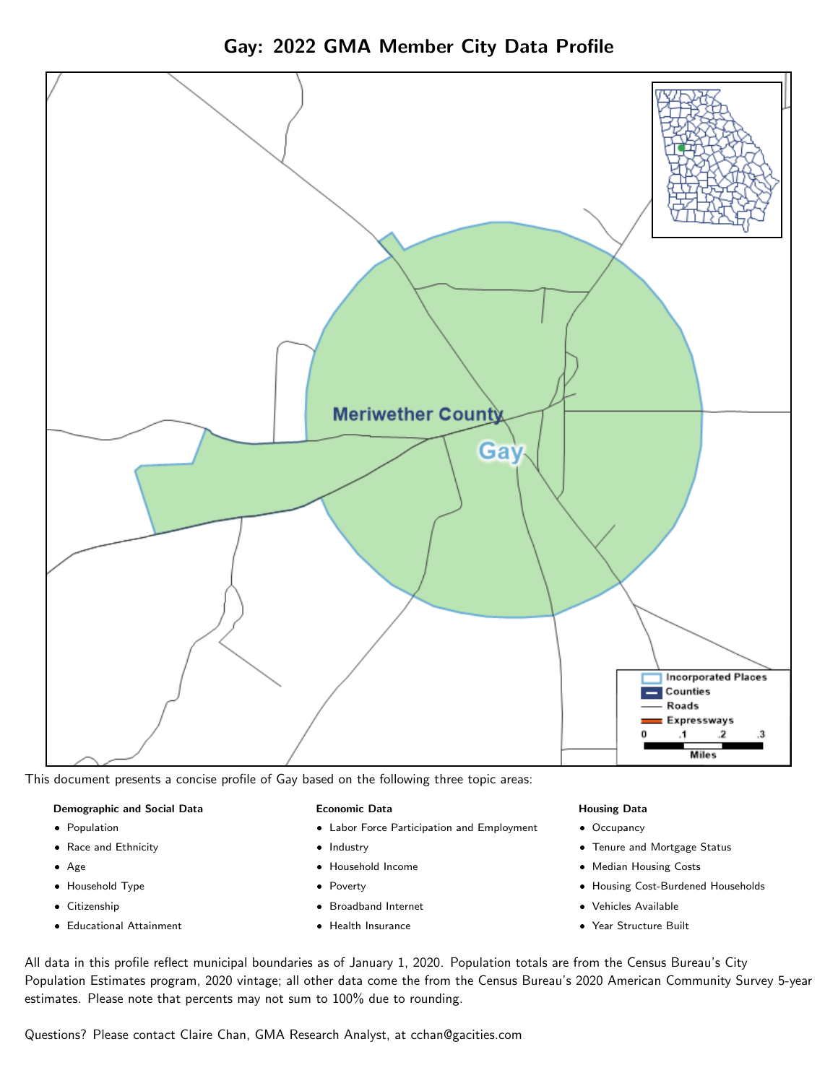Gay: 2022 GMA Member City Data Profile



This document presents a concise profile of Gay based on the following three topic areas:

#### Demographic and Social Data

- **•** Population
- Race and Ethnicity
- Age
- Household Type
- **Citizenship**
- Educational Attainment

#### Economic Data

- Labor Force Participation and Employment
- Industry
- Household Income
- Poverty
- Broadband Internet
- Health Insurance

#### Housing Data

- Occupancy
- Tenure and Mortgage Status
- Median Housing Costs
- Housing Cost-Burdened Households
- Vehicles Available
- Year Structure Built

All data in this profile reflect municipal boundaries as of January 1, 2020. Population totals are from the Census Bureau's City Population Estimates program, 2020 vintage; all other data come the from the Census Bureau's 2020 American Community Survey 5-year estimates. Please note that percents may not sum to 100% due to rounding.

Questions? Please contact Claire Chan, GMA Research Analyst, at [cchan@gacities.com.](mailto:cchan@gacities.com)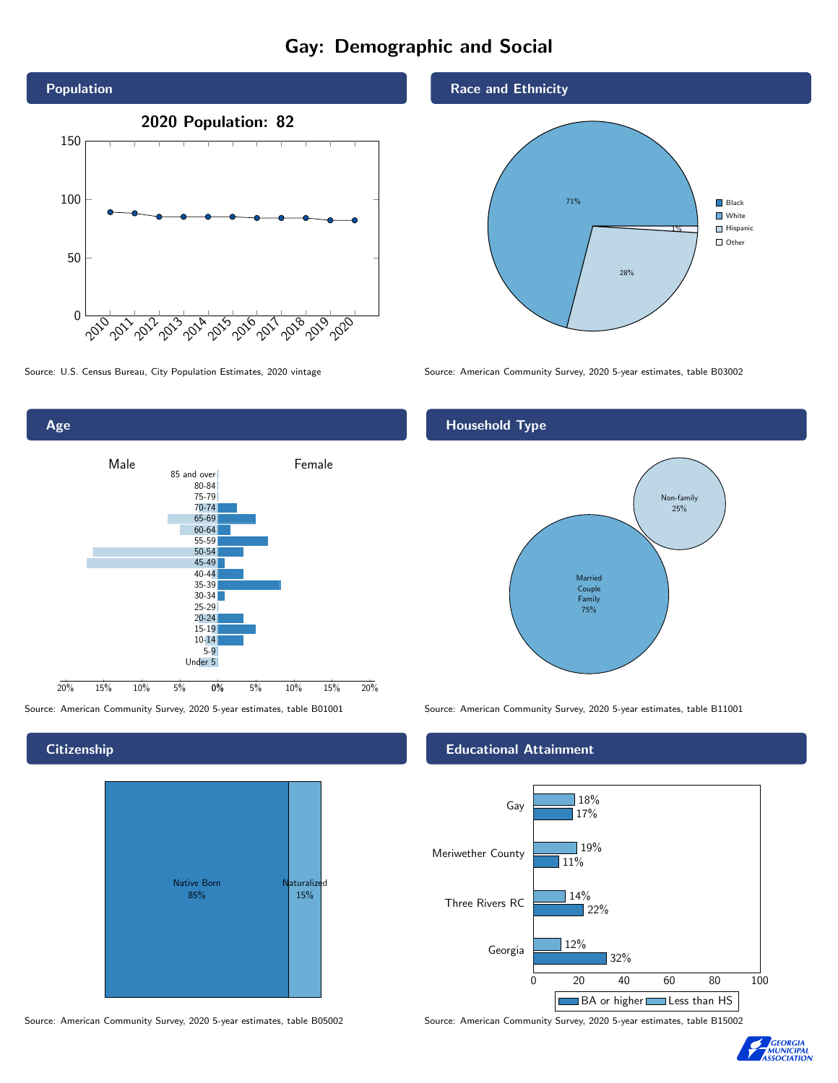## Gay: Demographic and Social





## **Citizenship**



Source: American Community Survey, 2020 5-year estimates, table B05002 Source: American Community Survey, 2020 5-year estimates, table B15002

#### Race and Ethnicity



Source: U.S. Census Bureau, City Population Estimates, 2020 vintage Source: American Community Survey, 2020 5-year estimates, table B03002

## Household Type



Source: American Community Survey, 2020 5-year estimates, table B01001 Source: American Community Survey, 2020 5-year estimates, table B11001

#### Educational Attainment



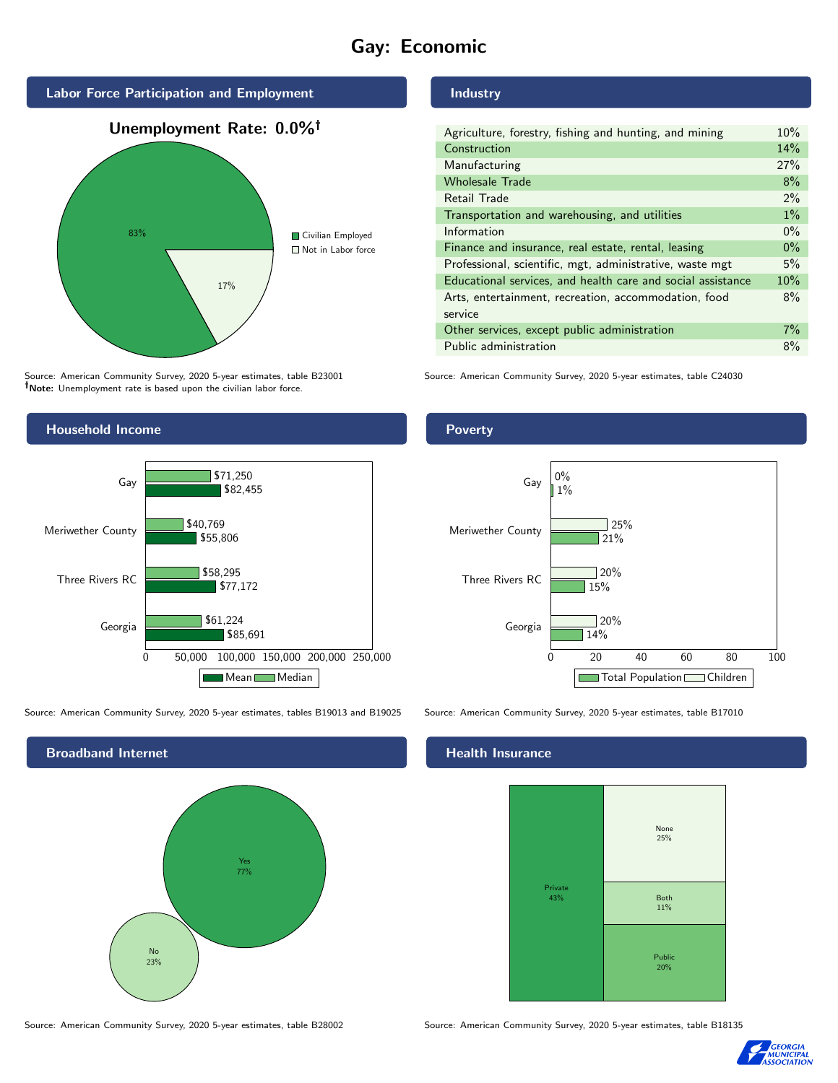# Gay: Economic



Source: American Community Survey, 2020 5-year estimates, table B23001 Note: Unemployment rate is based upon the civilian labor force.



Source: American Community Survey, 2020 5-year estimates, tables B19013 and B19025 Source: American Community Survey, 2020 5-year estimates, table B17010

Broadband Internet No 23% Yes 77%

## Industry

| Agriculture, forestry, fishing and hunting, and mining      | 10%   |
|-------------------------------------------------------------|-------|
| Construction                                                | 14%   |
| Manufacturing                                               | 27%   |
| <b>Wholesale Trade</b>                                      | 8%    |
| Retail Trade                                                | $2\%$ |
| Transportation and warehousing, and utilities               | $1\%$ |
| Information                                                 | $0\%$ |
| Finance and insurance, real estate, rental, leasing         | $0\%$ |
| Professional, scientific, mgt, administrative, waste mgt    | 5%    |
| Educational services, and health care and social assistance | 10%   |
| Arts, entertainment, recreation, accommodation, food        | 8%    |
| service                                                     |       |
| Other services, except public administration                | $7\%$ |
| Public administration                                       | 8%    |

Source: American Community Survey, 2020 5-year estimates, table C24030

### **Poverty**



#### Health Insurance



Source: American Community Survey, 2020 5-year estimates, table B28002 Source: American Community Survey, 2020 5-year estimates, table B18135